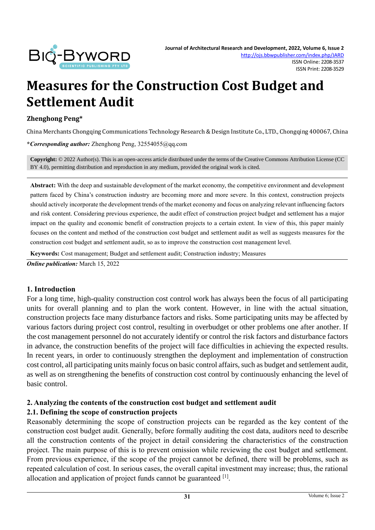

# **Measures for the Construction Cost Budget and Settlement Audit**

#### **Zhenghong Peng\***

China Merchants Chongqing Communications Technology Research & Design Institute Co., LTD., Chongqing 400067, China

**\****Corresponding author:* Zhenghong Peng, 32554055@qq.com

**Copyright:** © 2022 Author(s). This is an open-access article distributed under the terms of th[e Creative Commons Attribution License \(CC](https://creativecommons.org/licenses/by/4.0/)  [BY 4.0\),](https://creativecommons.org/licenses/by/4.0/) permitting distribution and reproduction in any medium, provided the original work is cited.

**Abstract:** With the deep and sustainable development of the market economy, the competitive environment and development pattern faced by China's construction industry are becoming more and more severe. In this context, construction projects should actively incorporate the development trends of the market economy and focus on analyzing relevant influencing factors and risk content. Considering previous experience, the audit effect of construction project budget and settlement has a major impact on the quality and economic benefit of construction projects to a certain extent. In view of this, this paper mainly focuses on the content and method of the construction cost budget and settlement audit as well as suggests measures for the construction cost budget and settlement audit, so as to improve the construction cost management level.

**Keywords:** Cost management; Budget and settlement audit; Construction industry; Measures

*Online publication:* March 15, 2022

#### **1. Introduction**

For a long time, high-quality construction cost control work has always been the focus of all participating units for overall planning and to plan the work content. However, in line with the actual situation, construction projects face many disturbance factors and risks. Some participating units may be affected by various factors during project cost control, resulting in overbudget or other problems one after another. If the cost management personnel do not accurately identify or control the risk factors and disturbance factors in advance, the construction benefits of the project will face difficulties in achieving the expected results. In recent years, in order to continuously strengthen the deployment and implementation of construction cost control, all participating units mainly focus on basic control affairs, such as budget and settlement audit, as well as on strengthening the benefits of construction cost control by continuously enhancing the level of basic control.

## **2. Analyzing the contents of the construction cost budget and settlement audit 2.1. Defining the scope of construction projects**

Reasonably determining the scope of construction projects can be regarded as the key content of the construction cost budget audit. Generally, before formally auditing the cost data, auditors need to describe all the construction contents of the project in detail considering the characteristics of the construction project. The main purpose of this is to prevent omission while reviewing the cost budget and settlement. From previous experience, if the scope of the project cannot be defined, there will be problems, such as repeated calculation of cost. In serious cases, the overall capital investment may increase; thus, the rational allocation and application of project funds cannot be guaranteed  $^{[1]}$ .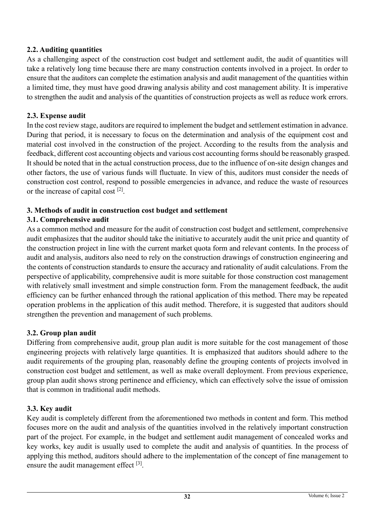# **2.2. Auditing quantities**

As a challenging aspect of the construction cost budget and settlement audit, the audit of quantities will take a relatively long time because there are many construction contents involved in a project. In order to ensure that the auditors can complete the estimation analysis and audit management of the quantities within a limited time, they must have good drawing analysis ability and cost management ability. It is imperative to strengthen the audit and analysis of the quantities of construction projects as well as reduce work errors.

# **2.3. Expense audit**

In the cost review stage, auditors are required to implement the budget and settlement estimation in advance. During that period, it is necessary to focus on the determination and analysis of the equipment cost and material cost involved in the construction of the project. According to the results from the analysis and feedback, different cost accounting objects and various cost accounting forms should be reasonably grasped. It should be noted that in the actual construction process, due to the influence of on-site design changes and other factors, the use of various funds will fluctuate. In view of this, auditors must consider the needs of construction cost control, respond to possible emergencies in advance, and reduce the waste of resources or the increase of capital cost  $[2]$ .

# **3. Methods of audit in construction cost budget and settlement**

# **3.1. Comprehensive audit**

As a common method and measure for the audit of construction cost budget and settlement, comprehensive audit emphasizes that the auditor should take the initiative to accurately audit the unit price and quantity of the construction project in line with the current market quota form and relevant contents. In the process of audit and analysis, auditors also need to rely on the construction drawings of construction engineering and the contents of construction standards to ensure the accuracy and rationality of audit calculations. From the perspective of applicability, comprehensive audit is more suitable for those construction cost management with relatively small investment and simple construction form. From the management feedback, the audit efficiency can be further enhanced through the rational application of this method. There may be repeated operation problems in the application of this audit method. Therefore, it is suggested that auditors should strengthen the prevention and management of such problems.

# **3.2. Group plan audit**

Differing from comprehensive audit, group plan audit is more suitable for the cost management of those engineering projects with relatively large quantities. It is emphasized that auditors should adhere to the audit requirements of the grouping plan, reasonably define the grouping contents of projects involved in construction cost budget and settlement, as well as make overall deployment. From previous experience, group plan audit shows strong pertinence and efficiency, which can effectively solve the issue of omission that is common in traditional audit methods.

# **3.3. Key audit**

Key audit is completely different from the aforementioned two methods in content and form. This method focuses more on the audit and analysis of the quantities involved in the relatively important construction part of the project. For example, in the budget and settlement audit management of concealed works and key works, key audit is usually used to complete the audit and analysis of quantities. In the process of applying this method, auditors should adhere to the implementation of the concept of fine management to ensure the audit management effect [3].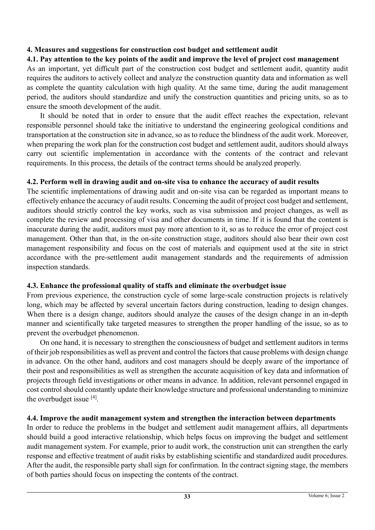# **4. Measures and suggestions for construction cost budget and settlement audit**

## **4.1. Pay attention to the key points of the audit and improve the level of project cost management**

As an important, yet difficult part of the construction cost budget and settlement audit, quantity audit requires the auditors to actively collect and analyze the construction quantity data and information as well as complete the quantity calculation with high quality. At the same time, during the audit management period, the auditors should standardize and unify the construction quantities and pricing units, so as to ensure the smooth development of the audit.

It should be noted that in order to ensure that the audit effect reaches the expectation, relevant responsible personnel should take the initiative to understand the engineering geological conditions and transportation at the construction site in advance, so as to reduce the blindness of the audit work. Moreover, when preparing the work plan for the construction cost budget and settlement audit, auditors should always carry out scientific implementation in accordance with the contents of the contract and relevant requirements. In this process, the details of the contract terms should be analyzed properly.

#### **4.2. Perform well in drawing audit and on-site visa to enhance the accuracy of audit results**

The scientific implementations of drawing audit and on-site visa can be regarded as important means to effectively enhance the accuracy of audit results. Concerning the audit of project cost budget and settlement, auditors should strictly control the key works, such as visa submission and project changes, as well as complete the review and processing of visa and other documents in time. If it is found that the content is inaccurate during the audit, auditors must pay more attention to it, so as to reduce the error of project cost management. Other than that, in the on-site construction stage, auditors should also bear their own cost management responsibility and focus on the cost of materials and equipment used at the site in strict accordance with the pre-settlement audit management standards and the requirements of admission inspection standards.

## **4.3. Enhance the professional quality of staffs and eliminate the overbudget issue**

From previous experience, the construction cycle of some large-scale construction projects is relatively long, which may be affected by several uncertain factors during construction, leading to design changes. When there is a design change, auditors should analyze the causes of the design change in an in-depth manner and scientifically take targeted measures to strengthen the proper handling of the issue, so as to prevent the overbudget phenomenon.

On one hand, it is necessary to strengthen the consciousness of budget and settlement auditors in terms of their job responsibilities as well as prevent and control the factors that cause problems with design change in advance. On the other hand, auditors and cost managers should be deeply aware of the importance of their post and responsibilities as well as strengthen the accurate acquisition of key data and information of projects through field investigations or other means in advance. In addition, relevant personnel engaged in cost control should constantly update their knowledge structure and professional understanding to minimize the overbudget issue [4].

## **4.4. Improve the audit management system and strengthen the interaction between departments**

In order to reduce the problems in the budget and settlement audit management affairs, all departments should build a good interactive relationship, which helps focus on improving the budget and settlement audit management system. For example, prior to audit work, the construction unit can strengthen the early response and effective treatment of audit risks by establishing scientific and standardized audit procedures. After the audit, the responsible party shall sign for confirmation. In the contract signing stage, the members of both parties should focus on inspecting the contents of the contract.